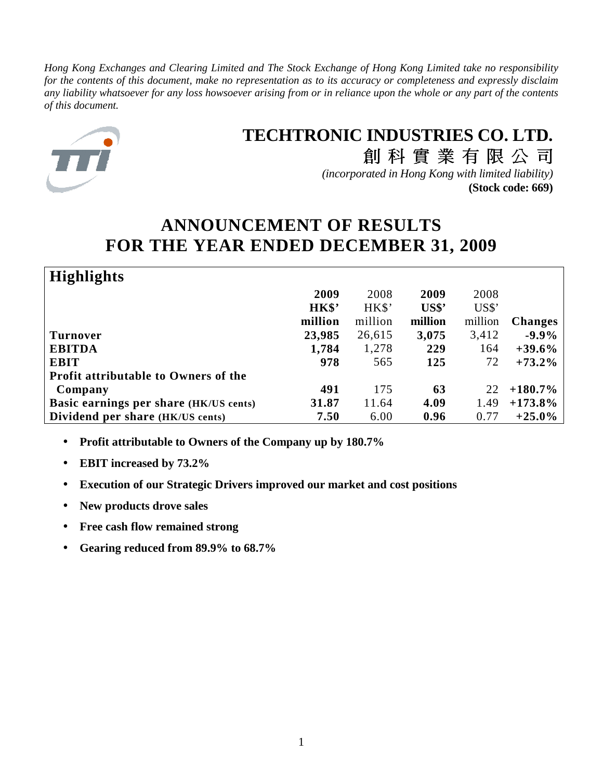*Hong Kong Exchanges and Clearing Limited and The Stock Exchange of Hong Kong Limited take no responsibility for the contents of this document, make no representation as to its accuracy or completeness and expressly disclaim any liability whatsoever for any loss howsoever arising from or in reliance upon the whole or any part of the contents of this document.*



# **TECHTRONIC INDUSTRIES CO. LTD.** 創科實業有限公司

*(incorporated in Hong Kong with limited liability)* **(Stock code: 669)**

# **ANNOUNCEMENT OF RESULTS FOR THE YEAR ENDED DECEMBER 31, 2009**

| <b>Highlights</b>                             |         |         |         |         |                |
|-----------------------------------------------|---------|---------|---------|---------|----------------|
|                                               | 2009    | 2008    | 2009    | 2008    |                |
|                                               | HK\$'   | HK\$'   | US\$'   | US\$'   |                |
|                                               | million | million | million | million | <b>Changes</b> |
| <b>Turnover</b>                               | 23,985  | 26,615  | 3,075   | 3,412   | $-9.9\%$       |
| <b>EBITDA</b>                                 | 1,784   | 1,278   | 229     | 164     | $+39.6%$       |
| <b>EBIT</b>                                   | 978     | 565     | 125     | 72      | $+73.2%$       |
| <b>Profit attributable to Owners of the</b>   |         |         |         |         |                |
| Company                                       | 491     | 175     | 63      | 22      | $+180.7\%$     |
| <b>Basic earnings per share (HK/US cents)</b> | 31.87   | 11.64   | 4.09    | 1.49    | $+173.8\%$     |
| Dividend per share (HK/US cents)              | 7.50    | 6.00    | 0.96    | 0.77    | $+25.0\%$      |

- **Profit attributable to Owners of the Company up by 180.7%**
- **EBIT increased by 73.2%**
- **Execution of our Strategic Drivers improved our market and cost positions**
- **New products drove sales**
- **Free cash flow remained strong**
- **Gearing reduced from 89.9% to 68.7%**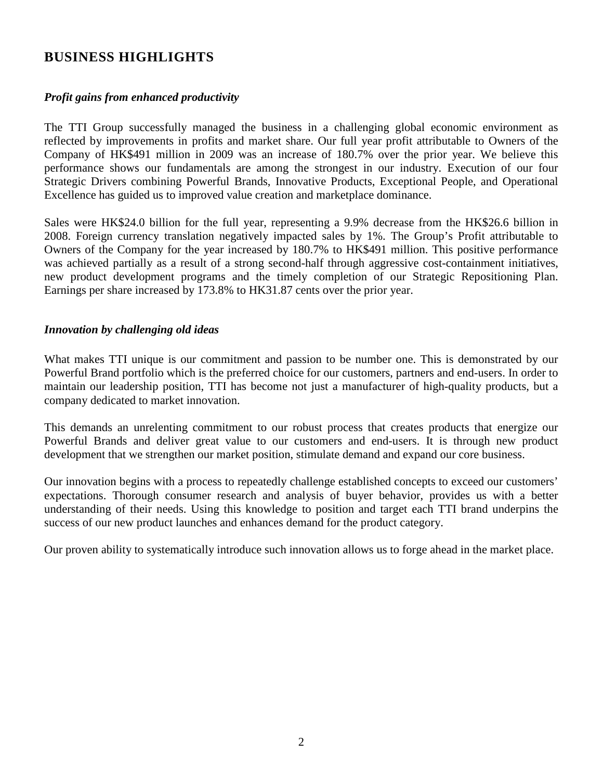# **BUSINESS HIGHLIGHTS**

## *Profit gains from enhanced productivity*

The TTI Group successfully managed the business in a challenging global economic environment as reflected by improvements in profits and market share. Our full year profit attributable to Owners of the Company of HK\$491 million in 2009 was an increase of 180.7% over the prior year. We believe this performance shows our fundamentals are among the strongest in our industry. Execution of our four Strategic Drivers combining Powerful Brands, Innovative Products, Exceptional People, and Operational Excellence has guided us to improved value creation and marketplace dominance.

Sales were HK\$24.0 billion for the full year, representing a 9.9% decrease from the HK\$26.6 billion in 2008. Foreign currency translation negatively impacted sales by 1%. The Group's Profit attributable to Owners of the Company for the year increased by 180.7% to HK\$491 million. This positive performance was achieved partially as a result of a strong second-half through aggressive cost-containment initiatives, new product development programs and the timely completion of our Strategic Repositioning Plan. Earnings per share increased by 173.8% to HK31.87 cents over the prior year.

### *Innovation by challenging old ideas*

What makes TTI unique is our commitment and passion to be number one. This is demonstrated by our Powerful Brand portfolio which is the preferred choice for our customers, partners and end-users. In order to maintain our leadership position, TTI has become not just a manufacturer of high-quality products, but a company dedicated to market innovation.

This demands an unrelenting commitment to our robust process that creates products that energize our Powerful Brands and deliver great value to our customers and end-users. It is through new product development that we strengthen our market position, stimulate demand and expand our core business.

Our innovation begins with a process to repeatedly challenge established concepts to exceed our customers' expectations. Thorough consumer research and analysis of buyer behavior, provides us with a better understanding of their needs. Using this knowledge to position and target each TTI brand underpins the success of our new product launches and enhances demand for the product category.

Our proven ability to systematically introduce such innovation allows us to forge ahead in the market place.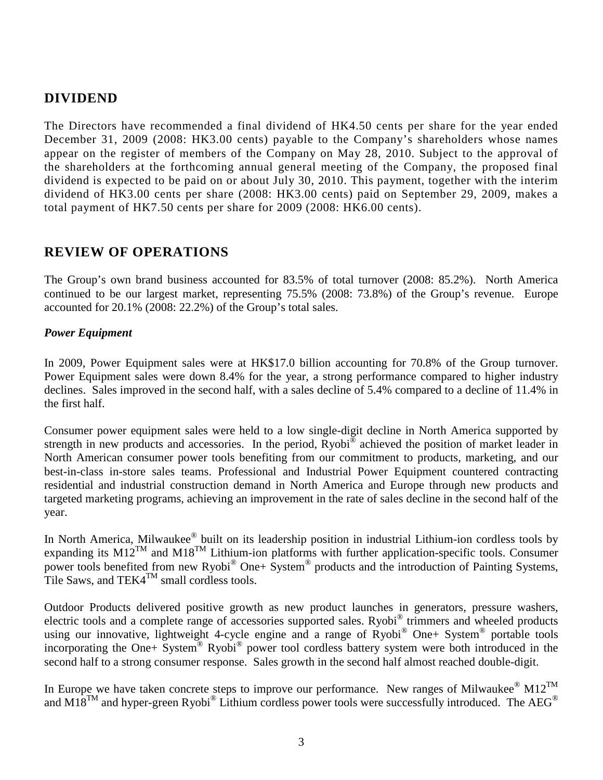# **DIVIDEND**

The Directors have recommended a final dividend of HK4.50 cents per share for the year ended December 31, 2009 (2008: HK3.00 cents) payable to the Company's shareholders whose names appear on the register of members of the Company on May 28, 2010. Subject to the approval of the shareholders at the forthcoming annual general meeting of the Company, the proposed final dividend is expected to be paid on or about July 30, 2010. This payment, together with the interim dividend of HK3.00 cents per share (2008: HK3.00 cents) paid on September 29, 2009, makes a total payment of HK7.50 cents per share for 2009 (2008: HK6.00 cents).

# **REVIEW OF OPERATIONS**

The Group's own brand business accounted for 83.5% of total turnover (2008: 85.2%). North America continued to be our largest market, representing 75.5% (2008: 73.8%) of the Group's revenue. Europe accounted for 20.1% (2008: 22.2%) of the Group's total sales.

### *Power Equipment*

In 2009, Power Equipment sales were at HK\$17.0 billion accounting for 70.8% of the Group turnover. Power Equipment sales were down 8.4% for the year, a strong performance compared to higher industry declines. Sales improved in the second half, with a sales decline of 5.4% compared to a decline of 11.4% in the first half.

Consumer power equipment sales were held to a low single-digit decline in North America supported by strength in new products and accessories. In the period, Ryobi® achieved the position of market leader in North American consumer power tools benefiting from our commitment to products, marketing, and our best-in-class in-store sales teams. Professional and Industrial Power Equipment countered contracting residential and industrial construction demand in North America and Europe through new products and targeted marketing programs, achieving an improvement in the rate of sales decline in the second half of the year.

In North America, Milwaukee® built on its leadership position in industrial Lithium-ion cordless tools by expanding its  $M12^{TM}$  and  $M18^{TM}$  Lithium-ion platforms with further application-specific tools. Consumer power tools benefited from new Ryobi® One+ System® products and the introduction of Painting Systems, Tile Saws, and TEK4 $^{TM}$  small cordless tools.

Outdoor Products delivered positive growth as new product launches in generators, pressure washers, electric tools and a complete range of accessories supported sales. Ryobi® trimmers and wheeled products using our innovative, lightweight 4-cycle engine and a range of Ryobi® One+ System® portable tools incorporating the One+ System<sup>®</sup> Ryobi<sup>®</sup> power tool cordless battery system were both introduced in the second half to a strong consumer response. Sales growth in the second half almost reached double-digit.

In Europe we have taken concrete steps to improve our performance. New ranges of Milwaukee®  $M12^{TM}$ and M18<sup>TM</sup> and hyper-green Ryobi® Lithium cordless power tools were successfully introduced. The AEG®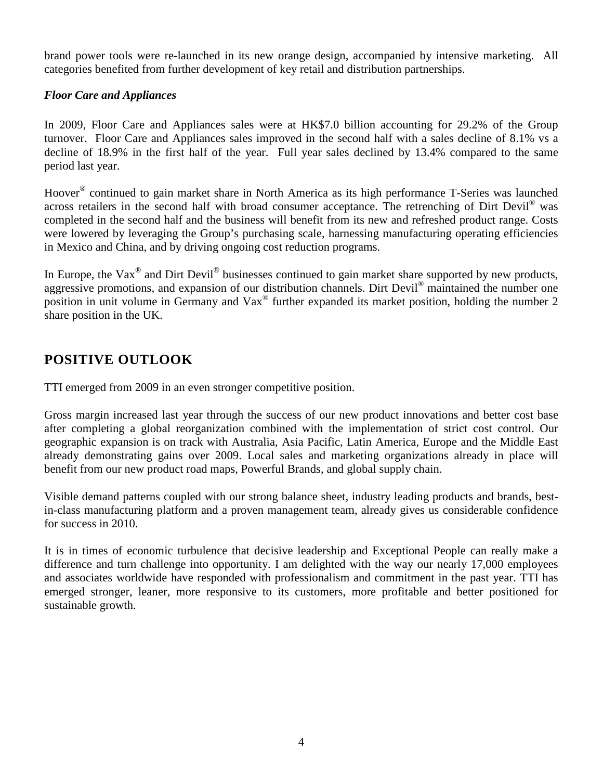brand power tools were re-launched in its new orange design, accompanied by intensive marketing. All categories benefited from further development of key retail and distribution partnerships.

## *Floor Care and Appliances*

In 2009, Floor Care and Appliances sales were at HK\$7.0 billion accounting for 29.2% of the Group turnover. Floor Care and Appliances sales improved in the second half with a sales decline of 8.1% vs a decline of 18.9% in the first half of the year. Full year sales declined by 13.4% compared to the same period last year.

Hoover<sup>®</sup> continued to gain market share in North America as its high performance T-Series was launched across retailers in the second half with broad consumer acceptance. The retrenching of Dirt Devil<sup>®</sup> was completed in the second half and the business will benefit from its new and refreshed product range. Costs were lowered by leveraging the Group's purchasing scale, harnessing manufacturing operating efficiencies in Mexico and China, and by driving ongoing cost reduction programs.

In Europe, the Vax<sup>®</sup> and Dirt Devil<sup>®</sup> businesses continued to gain market share supported by new products, aggressive promotions, and expansion of our distribution channels. Dirt Devil® maintained the number one position in unit volume in Germany and Vax<sup>®</sup> further expanded its market position, holding the number 2 share position in the UK.

# **POSITIVE OUTLOOK**

TTI emerged from 2009 in an even stronger competitive position.

Gross margin increased last year through the success of our new product innovations and better cost base after completing a global reorganization combined with the implementation of strict cost control. Our geographic expansion is on track with Australia, Asia Pacific, Latin America, Europe and the Middle East already demonstrating gains over 2009. Local sales and marketing organizations already in place will benefit from our new product road maps, Powerful Brands, and global supply chain.

Visible demand patterns coupled with our strong balance sheet, industry leading products and brands, bestin-class manufacturing platform and a proven management team, already gives us considerable confidence for success in 2010.

It is in times of economic turbulence that decisive leadership and Exceptional People can really make a difference and turn challenge into opportunity. I am delighted with the way our nearly 17,000 employees and associates worldwide have responded with professionalism and commitment in the past year. TTI has emerged stronger, leaner, more responsive to its customers, more profitable and better positioned for sustainable growth.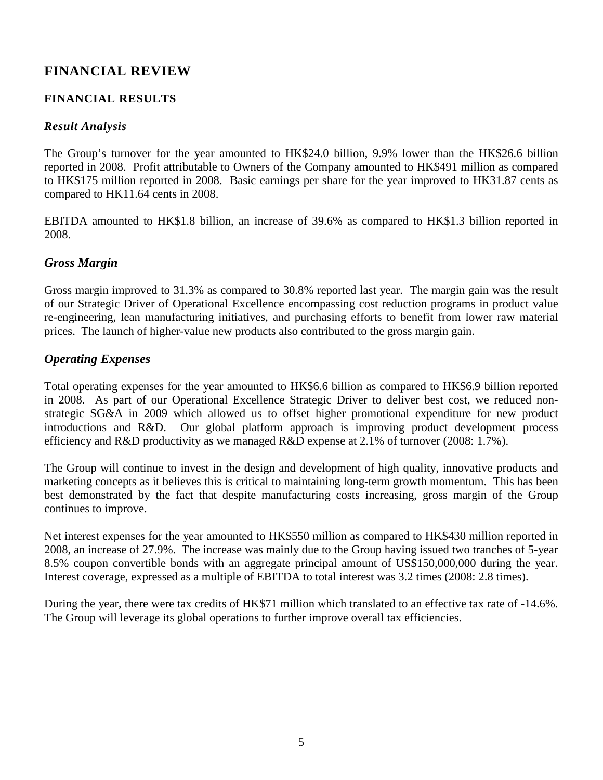# **FINANCIAL REVIEW**

## **FINANCIAL RESULTS**

## *Result Analysis*

The Group's turnover for the year amounted to HK\$24.0 billion, 9.9% lower than the HK\$26.6 billion reported in 2008. Profit attributable to Owners of the Company amounted to HK\$491 million as compared to HK\$175 million reported in 2008. Basic earnings per share for the year improved to HK31.87 cents as compared to HK11.64 cents in 2008.

EBITDA amounted to HK\$1.8 billion, an increase of 39.6% as compared to HK\$1.3 billion reported in 2008.

## *Gross Margin*

Gross margin improved to 31.3% as compared to 30.8% reported last year. The margin gain was the result of our Strategic Driver of Operational Excellence encompassing cost reduction programs in product value re-engineering, lean manufacturing initiatives, and purchasing efforts to benefit from lower raw material prices. The launch of higher-value new products also contributed to the gross margin gain.

## *Operating Expenses*

Total operating expenses for the year amounted to HK\$6.6 billion as compared to HK\$6.9 billion reported in 2008. As part of our Operational Excellence Strategic Driver to deliver best cost, we reduced nonstrategic SG&A in 2009 which allowed us to offset higher promotional expenditure for new product introductions and R&D. Our global platform approach is improving product development process efficiency and R&D productivity as we managed R&D expense at 2.1% of turnover (2008: 1.7%).

The Group will continue to invest in the design and development of high quality, innovative products and marketing concepts as it believes this is critical to maintaining long-term growth momentum. This has been best demonstrated by the fact that despite manufacturing costs increasing, gross margin of the Group continues to improve.

Net interest expenses for the year amounted to HK\$550 million as compared to HK\$430 million reported in 2008, an increase of 27.9%. The increase was mainly due to the Group having issued two tranches of 5-year 8.5% coupon convertible bonds with an aggregate principal amount of US\$150,000,000 during the year. Interest coverage, expressed as a multiple of EBITDA to total interest was 3.2 times (2008: 2.8 times).

During the year, there were tax credits of HK\$71 million which translated to an effective tax rate of -14.6%. The Group will leverage its global operations to further improve overall tax efficiencies.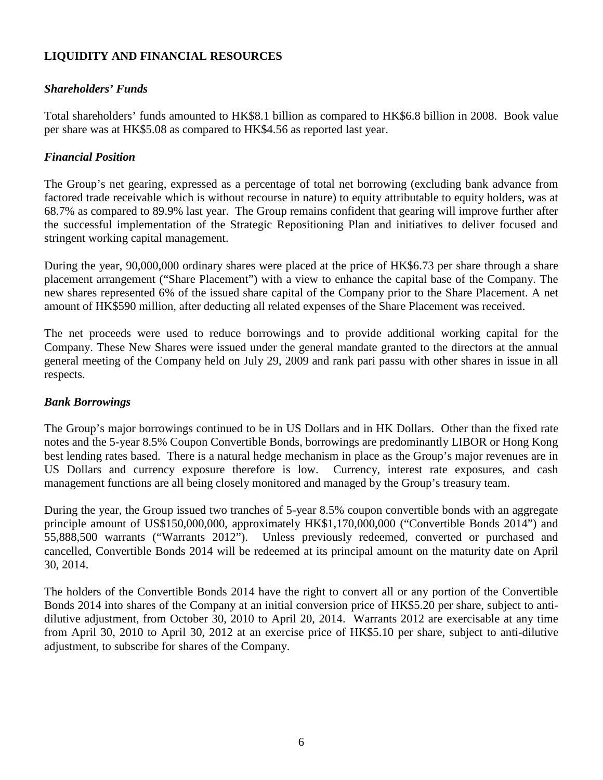## **LIQUIDITY AND FINANCIAL RESOURCES**

## *Shareholders' Funds*

Total shareholders' funds amounted to HK\$8.1 billion as compared to HK\$6.8 billion in 2008. Book value per share was at HK\$5.08 as compared to HK\$4.56 as reported last year.

## *Financial Position*

The Group's net gearing, expressed as a percentage of total net borrowing (excluding bank advance from factored trade receivable which is without recourse in nature) to equity attributable to equity holders, was at 68.7% as compared to 89.9% last year. The Group remains confident that gearing will improve further after the successful implementation of the Strategic Repositioning Plan and initiatives to deliver focused and stringent working capital management.

During the year, 90,000,000 ordinary shares were placed at the price of HK\$6.73 per share through a share placement arrangement ("Share Placement") with a view to enhance the capital base of the Company. The new shares represented 6% of the issued share capital of the Company prior to the Share Placement. A net amount of HK\$590 million, after deducting all related expenses of the Share Placement was received.

The net proceeds were used to reduce borrowings and to provide additional working capital for the Company. These New Shares were issued under the general mandate granted to the directors at the annual general meeting of the Company held on July 29, 2009 and rank pari passu with other shares in issue in all respects.

## *Bank Borrowings*

The Group's major borrowings continued to be in US Dollars and in HK Dollars. Other than the fixed rate notes and the 5-year 8.5% Coupon Convertible Bonds, borrowings are predominantly LIBOR or Hong Kong best lending rates based. There is a natural hedge mechanism in place as the Group's major revenues are in US Dollars and currency exposure therefore is low. Currency, interest rate exposures, and cash management functions are all being closely monitored and managed by the Group's treasury team.

During the year, the Group issued two tranches of 5-year 8.5% coupon convertible bonds with an aggregate principle amount of US\$150,000,000, approximately HK\$1,170,000,000 ("Convertible Bonds 2014") and 55,888,500 warrants ("Warrants 2012"). Unless previously redeemed, converted or purchased and cancelled, Convertible Bonds 2014 will be redeemed at its principal amount on the maturity date on April 30, 2014.

The holders of the Convertible Bonds 2014 have the right to convert all or any portion of the Convertible Bonds 2014 into shares of the Company at an initial conversion price of HK\$5.20 per share, subject to antidilutive adjustment, from October 30, 2010 to April 20, 2014. Warrants 2012 are exercisable at any time from April 30, 2010 to April 30, 2012 at an exercise price of HK\$5.10 per share, subject to anti-dilutive adjustment, to subscribe for shares of the Company.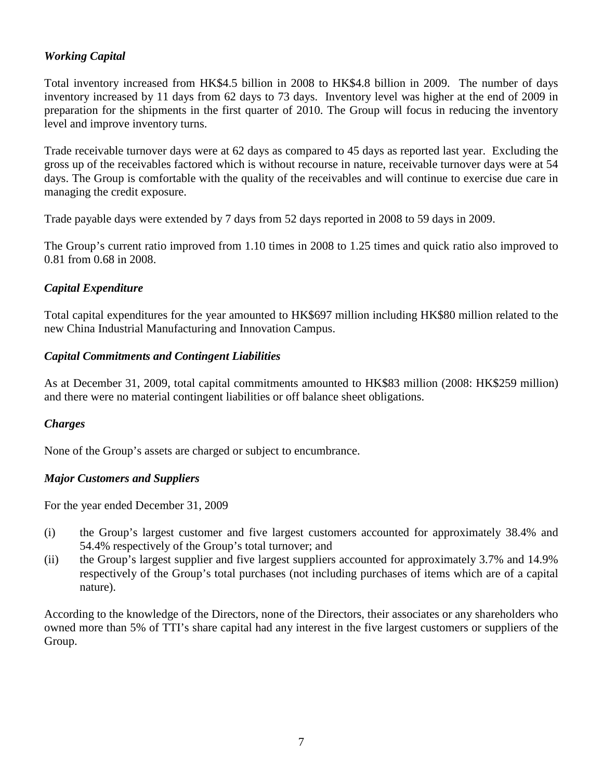## *Working Capital*

Total inventory increased from HK\$4.5 billion in 2008 to HK\$4.8 billion in 2009. The number of days inventory increased by 11 days from 62 days to 73 days. Inventory level was higher at the end of 2009 in preparation for the shipments in the first quarter of 2010. The Group will focus in reducing the inventory level and improve inventory turns.

Trade receivable turnover days were at 62 days as compared to 45 days as reported last year. Excluding the gross up of the receivables factored which is without recourse in nature, receivable turnover days were at 54 days. The Group is comfortable with the quality of the receivables and will continue to exercise due care in managing the credit exposure.

Trade payable days were extended by 7 days from 52 days reported in 2008 to 59 days in 2009.

The Group's current ratio improved from 1.10 times in 2008 to 1.25 times and quick ratio also improved to 0.81 from 0.68 in 2008.

## *Capital Expenditure*

Total capital expenditures for the year amounted to HK\$697 million including HK\$80 million related to the new China Industrial Manufacturing and Innovation Campus.

## *Capital Commitments and Contingent Liabilities*

As at December 31, 2009, total capital commitments amounted to HK\$83 million (2008: HK\$259 million) and there were no material contingent liabilities or off balance sheet obligations.

## *Charges*

None of the Group's assets are charged or subject to encumbrance.

## *Major Customers and Suppliers*

For the year ended December 31, 2009

- (i) the Group's largest customer and five largest customers accounted for approximately 38.4% and 54.4% respectively of the Group's total turnover; and
- (ii) the Group's largest supplier and five largest suppliers accounted for approximately 3.7% and 14.9% respectively of the Group's total purchases (not including purchases of items which are of a capital nature).

According to the knowledge of the Directors, none of the Directors, their associates or any shareholders who owned more than 5% of TTI's share capital had any interest in the five largest customers or suppliers of the Group.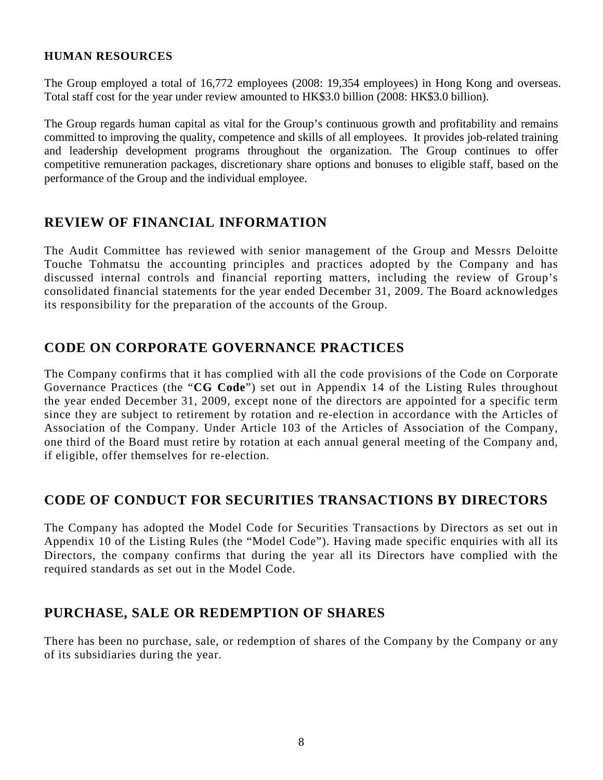### **HUMAN RESOURCES**

The Group employed a total of 16,772 employees (2008: 19,354 employees) in Hong Kong and overseas. Total staff cost for the year under review amounted to HK\$3.0 billion (2008: HK\$3.0 billion).

The Group regards human capital as vital for the Group's continuous growth and profitability and remains committed to improving the quality, competence and skills of all employees. It provides job-related training and leadership development programs throughout the organization. The Group continues to offer competitive remuneration packages, discretionary share options and bonuses to eligible staff, based on the performance of the Group and the individual employee.

# **REVIEW OF FINANCIAL INFORMATION**

The Audit Committee has reviewed with senior management of the Group and Messrs Deloitte Touche Tohmatsu the accounting principles and practices adopted by the Company and has discussed internal controls and financial reporting matters, including the review of Group's consolidated financial statements for the year ended December 31, 2009. The Board acknowledges its responsibility for the preparation of the accounts of the Group.

# **CODE ON CORPORATE GOVERNANCE PRACTICES**

The Company confirms that it has complied with all the code provisions of the Code on Corporate Governance Practices (the "**CG Code**") set out in Appendix 14 of the Listing Rules throughout the year ended December 31, 2009, except none of the directors are appointed for a specific term since they are subject to retirement by rotation and re-election in accordance with the Articles of Association of the Company. Under Article 103 of the Articles of Association of the Company, one third of the Board must retire by rotation at each annual general meeting of the Company and, if eligible, offer themselves for re-election.

# **CODE OF CONDUCT FOR SECURITIES TRANSACTIONS BY DIRECTORS**

The Company has adopted the Model Code for Securities Transactions by Directors as set out in Appendix 10 of the Listing Rules (the "Model Code"). Having made specific enquiries with all its Directors, the company confirms that during the year all its Directors have complied with the required standards as set out in the Model Code.

# **PURCHASE, SALE OR REDEMPTION OF SHARES**

There has been no purchase, sale, or redemption of shares of the Company by the Company or any of its subsidiaries during the year.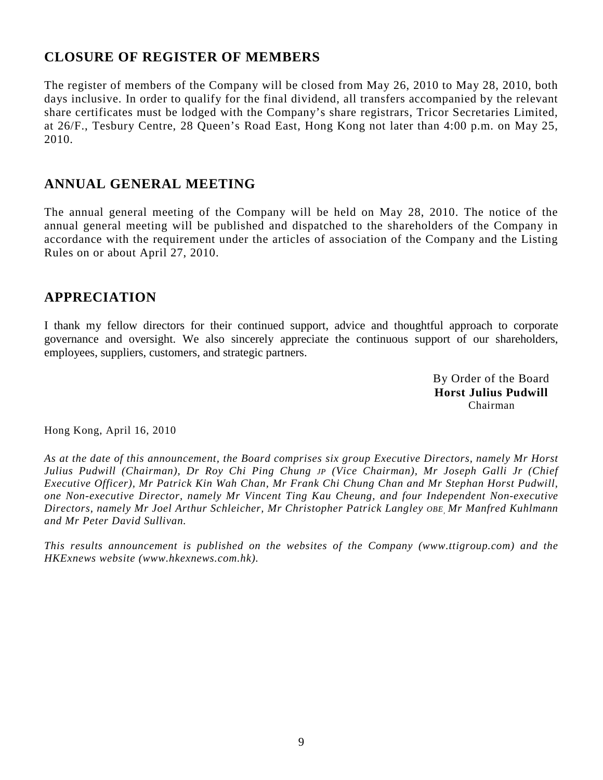# **CLOSURE OF REGISTER OF MEMBERS**

The register of members of the Company will be closed from May 26, 2010 to May 28, 2010, both days inclusive. In order to qualify for the final dividend, all transfers accompanied by the relevant share certificates must be lodged with the Company's share registrars, Tricor Secretaries Limited, at 26/F., Tesbury Centre, 28 Queen's Road East, Hong Kong not later than 4:00 p.m. on May 25, 2010.

# **ANNUAL GENERAL MEETING**

The annual general meeting of the Company will be held on May 28, 2010. The notice of the annual general meeting will be published and dispatched to the shareholders of the Company in accordance with the requirement under the articles of association of the Company and the Listing Rules on or about April 27, 2010.

# **APPRECIATION**

I thank my fellow directors for their continued support, advice and thoughtful approach to corporate governance and oversight. We also sincerely appreciate the continuous support of our shareholders, employees, suppliers, customers, and strategic partners.

> By Order of the Board **Horst Julius Pudwill**  Chairman

Hong Kong, April 16, 2010

*As at the date of this announcement, the Board comprises six group Executive Directors, namely Mr Horst Julius Pudwill (Chairman), Dr Roy Chi Ping Chung JP (Vice Chairman), Mr Joseph Galli Jr (Chief Executive Officer), Mr Patrick Kin Wah Chan, Mr Frank Chi Chung Chan and Mr Stephan Horst Pudwill, one Non-executive Director, namely Mr Vincent Ting Kau Cheung, and four Independent Non-executive Directors, namely Mr Joel Arthur Schleicher, Mr Christopher Patrick Langley OBE, Mr Manfred Kuhlmann and Mr Peter David Sullivan.* 

*This results announcement is published on the websites of the Company (www.ttigroup.com) and the HKExnews website (www.hkexnews.com.hk).*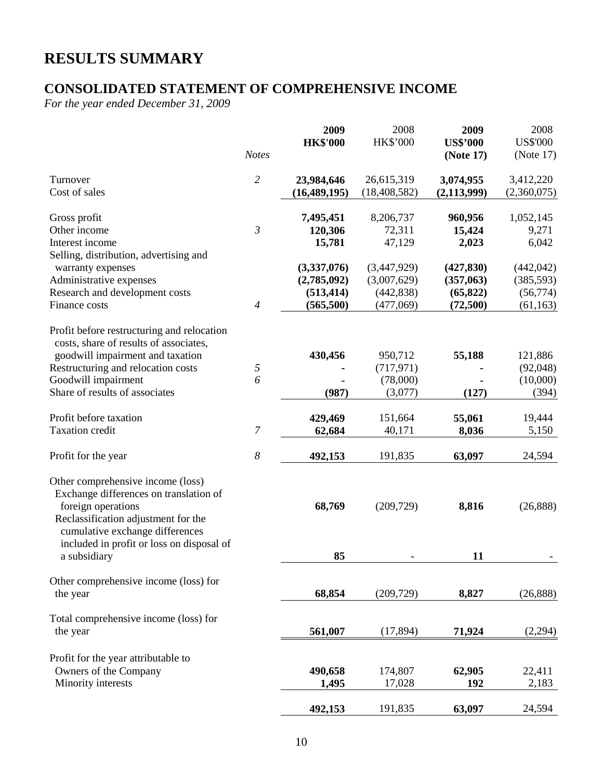# **RESULTS SUMMARY**

# **CONSOLIDATED STATEMENT OF COMPREHENSIVE INCOME**

*For the year ended December 31, 2009* 

|                                                                                                                                                                                                                                          | <b>Notes</b>   | 2009<br><b>HK\$'000</b>                               | 2008<br>HK\$'000                                      | 2009<br><b>US\$'000</b><br>(Note 17)             | 2008<br><b>US\$'000</b><br>(Note $17$ )            |
|------------------------------------------------------------------------------------------------------------------------------------------------------------------------------------------------------------------------------------------|----------------|-------------------------------------------------------|-------------------------------------------------------|--------------------------------------------------|----------------------------------------------------|
| Turnover<br>Cost of sales                                                                                                                                                                                                                | $\overline{c}$ | 23,984,646<br>(16, 489, 195)                          | 26,615,319<br>(18, 408, 582)                          | 3,074,955<br>(2, 113, 999)                       | 3,412,220<br>(2,360,075)                           |
| Gross profit<br>Other income<br>Interest income<br>Selling, distribution, advertising and                                                                                                                                                | $\mathfrak{Z}$ | 7,495,451<br>120,306<br>15,781                        | 8,206,737<br>72,311<br>47,129                         | 960,956<br>15,424<br>2,023                       | 1,052,145<br>9,271<br>6,042                        |
| warranty expenses<br>Administrative expenses<br>Research and development costs<br>Finance costs                                                                                                                                          | 4              | (3,337,076)<br>(2,785,092)<br>(513, 414)<br>(565,500) | (3,447,929)<br>(3,007,629)<br>(442, 838)<br>(477,069) | (427, 830)<br>(357,063)<br>(65, 822)<br>(72,500) | (442, 042)<br>(385, 593)<br>(56, 774)<br>(61, 163) |
| Profit before restructuring and relocation<br>costs, share of results of associates,<br>goodwill impairment and taxation<br>Restructuring and relocation costs<br>Goodwill impairment<br>Share of results of associates                  | 5<br>6         | 430,456<br>(987)                                      | 950,712<br>(717, 971)<br>(78,000)<br>(3,077)          | 55,188<br>(127)                                  | 121,886<br>(92,048)<br>(10,000)<br>(394)           |
| Profit before taxation<br><b>Taxation</b> credit                                                                                                                                                                                         | 7              | 429,469<br>62,684                                     | 151,664<br>40,171                                     | 55,061<br>8,036                                  | 19,444<br>5,150                                    |
| Profit for the year                                                                                                                                                                                                                      | 8              | 492,153                                               | 191,835                                               | 63,097                                           | 24,594                                             |
| Other comprehensive income (loss)<br>Exchange differences on translation of<br>foreign operations<br>Reclassification adjustment for the<br>cumulative exchange differences<br>included in profit or loss on disposal of<br>a subsidiary |                | 68,769<br>85                                          | (209, 729)                                            | 8,816<br>11                                      | (26, 888)                                          |
| Other comprehensive income (loss) for<br>the year                                                                                                                                                                                        |                | 68,854                                                | (209, 729)                                            | 8,827                                            | (26, 888)                                          |
| Total comprehensive income (loss) for<br>the year                                                                                                                                                                                        |                | 561,007                                               | (17, 894)                                             | 71,924                                           | (2,294)                                            |
| Profit for the year attributable to<br>Owners of the Company<br>Minority interests                                                                                                                                                       |                | 490,658<br>1,495                                      | 174,807<br>17,028                                     | 62,905<br>192                                    | 22,411<br>2,183                                    |
|                                                                                                                                                                                                                                          |                | 492,153                                               | 191,835                                               | 63,097                                           | 24,594                                             |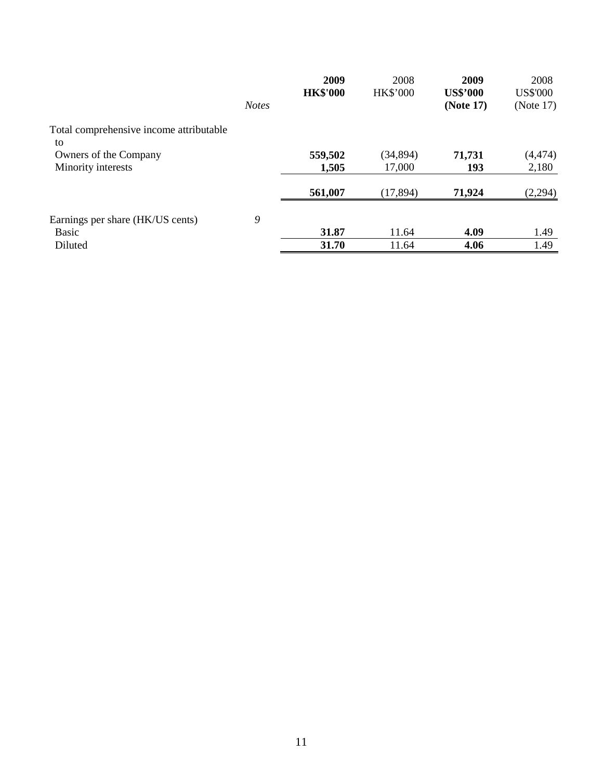|                                               |              | 2009<br><b>HK\$'000</b> | 2008<br><b>HK\$'000</b> | 2009<br><b>US\$'000</b> | 2008<br><b>US\$'000</b> |
|-----------------------------------------------|--------------|-------------------------|-------------------------|-------------------------|-------------------------|
|                                               | <b>Notes</b> |                         |                         | (Note 17)               | (Note $17$ )            |
| Total comprehensive income attributable<br>to |              |                         |                         |                         |                         |
| Owners of the Company                         |              | 559,502                 | (34, 894)               | 71,731                  | (4, 474)                |
| Minority interests                            |              | 1,505                   | 17,000                  | 193                     | 2,180                   |
|                                               |              | 561,007                 | (17, 894)               | 71,924                  | (2,294)                 |
| Earnings per share (HK/US cents)              | 9            |                         |                         |                         |                         |
| <b>Basic</b>                                  |              | 31.87                   | 11.64                   | 4.09                    | 1.49                    |
| Diluted                                       |              | 31.70                   | 11.64                   | 4.06                    | 1.49                    |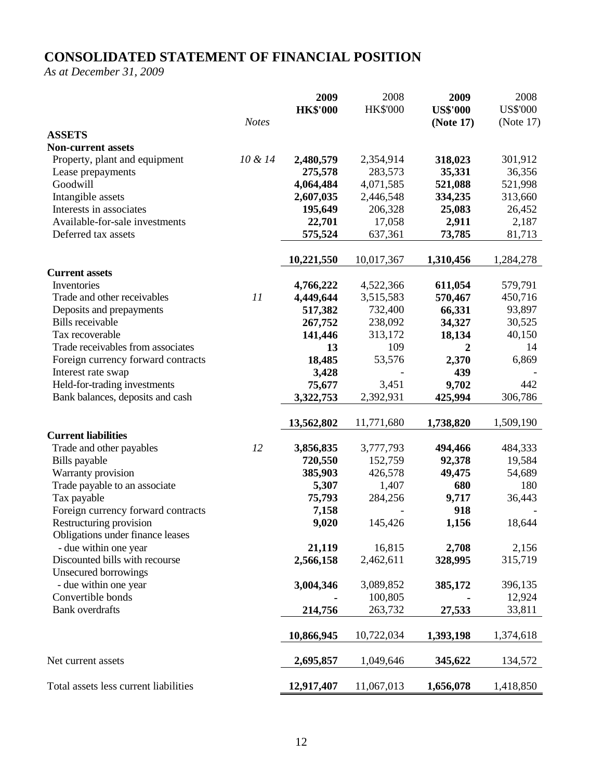# **CONSOLIDATED STATEMENT OF FINANCIAL POSITION**

*As at December 31, 2009* 

|                                                           |              | 2009            | 2008            | 2009             | 2008            |
|-----------------------------------------------------------|--------------|-----------------|-----------------|------------------|-----------------|
|                                                           |              | <b>HK\$'000</b> | <b>HK\$'000</b> | <b>US\$'000</b>  | <b>US\$'000</b> |
|                                                           | <b>Notes</b> |                 |                 | (Note 17)        | (Note $17$ )    |
| <b>ASSETS</b>                                             |              |                 |                 |                  |                 |
| <b>Non-current assets</b>                                 |              |                 |                 |                  |                 |
| Property, plant and equipment                             | 10 & 14      | 2,480,579       | 2,354,914       | 318,023          | 301,912         |
| Lease prepayments                                         |              | 275,578         | 283,573         | 35,331           | 36,356          |
| Goodwill                                                  |              | 4,064,484       | 4,071,585       | 521,088          | 521,998         |
| Intangible assets                                         |              | 2,607,035       | 2,446,548       | 334,235          | 313,660         |
| Interests in associates                                   |              | 195,649         | 206,328         | 25,083           | 26,452          |
| Available-for-sale investments                            |              | 22,701          | 17,058          | 2,911            | 2,187           |
| Deferred tax assets                                       |              | 575,524         | 637,361         | 73,785           | 81,713          |
|                                                           |              | 10,221,550      | 10,017,367      | 1,310,456        | 1,284,278       |
| <b>Current assets</b>                                     |              |                 |                 |                  |                 |
| Inventories                                               |              | 4,766,222       | 4,522,366       | 611,054          | 579,791         |
| Trade and other receivables                               | 11           | 4,449,644       | 3,515,583       | 570,467          | 450,716         |
| Deposits and prepayments                                  |              | 517,382         | 732,400         | 66,331           | 93,897          |
| <b>Bills</b> receivable                                   |              | 267,752         | 238,092         | 34,327           | 30,525          |
| Tax recoverable                                           |              | 141,446         | 313,172         | 18,134           | 40,150          |
| Trade receivables from associates                         |              | 13              | 109             | $\boldsymbol{2}$ | 14              |
| Foreign currency forward contracts                        |              | 18,485          | 53,576          | 2,370            | 6,869           |
| Interest rate swap                                        |              | 3,428           |                 | 439              |                 |
| Held-for-trading investments                              |              | 75,677          | 3,451           | 9,702            | 442             |
| Bank balances, deposits and cash                          |              | 3,322,753       | 2,392,931       | 425,994          | 306,786         |
|                                                           |              | 13,562,802      | 11,771,680      | 1,738,820        | 1,509,190       |
| <b>Current liabilities</b>                                |              |                 |                 |                  |                 |
| Trade and other payables                                  | 12           | 3,856,835       | 3,777,793       | 494,466          | 484,333         |
| Bills payable                                             |              | 720,550         | 152,759         | 92,378           | 19,584          |
| Warranty provision                                        |              | 385,903         | 426,578         | 49,475           | 54,689          |
| Trade payable to an associate                             |              | 5,307           | 1,407           | 680              | 180             |
| Tax payable                                               |              | 75,793          | 284,256         | 9,717            | 36,443          |
| Foreign currency forward contracts                        |              | 7,158           |                 | 918              |                 |
| Restructuring provision                                   |              | 9,020           | 145,426         | 1,156            | 18,644          |
| Obligations under finance leases<br>- due within one year |              | 21,119          | 16,815          | 2,708            | 2,156           |
| Discounted bills with recourse                            |              | 2,566,158       | 2,462,611       | 328,995          | 315,719         |
| <b>Unsecured borrowings</b>                               |              |                 |                 |                  |                 |
| - due within one year                                     |              | 3,004,346       | 3,089,852       | 385,172          | 396,135         |
| Convertible bonds                                         |              |                 | 100,805         |                  | 12,924          |
| <b>Bank</b> overdrafts                                    |              | 214,756         | 263,732         | 27,533           | 33,811          |
|                                                           |              |                 |                 |                  |                 |
|                                                           |              | 10,866,945      | 10,722,034      | 1,393,198        | 1,374,618       |
|                                                           |              |                 |                 |                  |                 |
| Net current assets                                        |              | 2,695,857       | 1,049,646       | 345,622          | 134,572         |
| Total assets less current liabilities                     |              | 12,917,407      | 11,067,013      | 1,656,078        | 1,418,850       |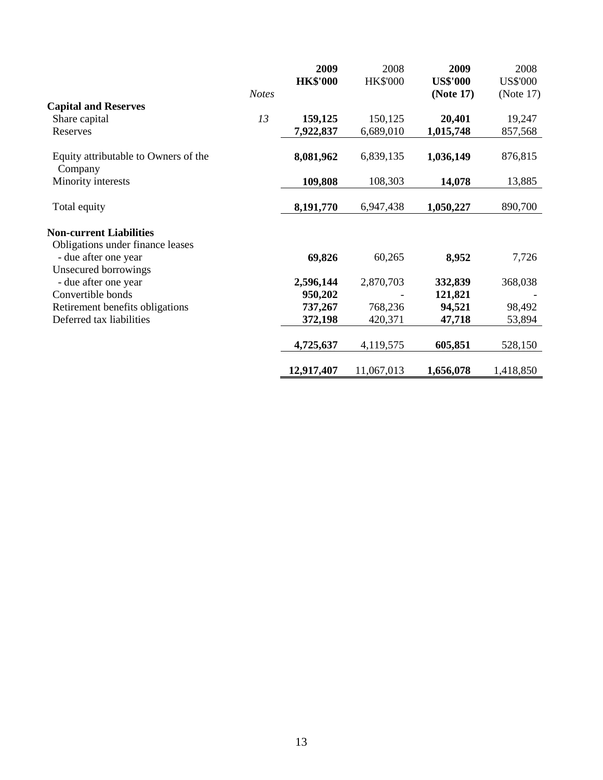|                                                                    |              | 2009            | 2008            | 2009            | 2008            |
|--------------------------------------------------------------------|--------------|-----------------|-----------------|-----------------|-----------------|
|                                                                    |              | <b>HK\$'000</b> | <b>HK\$'000</b> | <b>US\$'000</b> | <b>US\$'000</b> |
|                                                                    | <b>Notes</b> |                 |                 | (Note 17)       | (Note 17)       |
| <b>Capital and Reserves</b>                                        |              |                 |                 |                 |                 |
| Share capital                                                      | 13           | 159,125         | 150,125         | 20,401          | 19,247          |
| Reserves                                                           |              | 7,922,837       | 6,689,010       | 1,015,748       | 857,568         |
| Equity attributable to Owners of the<br>Company                    |              | 8,081,962       | 6,839,135       | 1,036,149       | 876,815         |
| Minority interests                                                 |              | 109,808         | 108,303         | 14,078          | 13,885          |
| Total equity                                                       |              | 8,191,770       | 6,947,438       | 1,050,227       | 890,700         |
| <b>Non-current Liabilities</b><br>Obligations under finance leases |              |                 |                 |                 |                 |
| - due after one year<br>Unsecured borrowings                       |              | 69,826          | 60,265          | 8,952           | 7,726           |
| - due after one year                                               |              | 2,596,144       | 2,870,703       | 332,839         | 368,038         |
| Convertible bonds                                                  |              | 950,202         |                 | 121,821         |                 |
| Retirement benefits obligations                                    |              | 737,267         | 768,236         | 94,521          | 98,492          |
| Deferred tax liabilities                                           |              | 372,198         | 420,371         | 47,718          | 53,894          |
|                                                                    |              | 4,725,637       | 4,119,575       | 605,851         | 528,150         |
|                                                                    |              | 12,917,407      | 11,067,013      | 1,656,078       | 1,418,850       |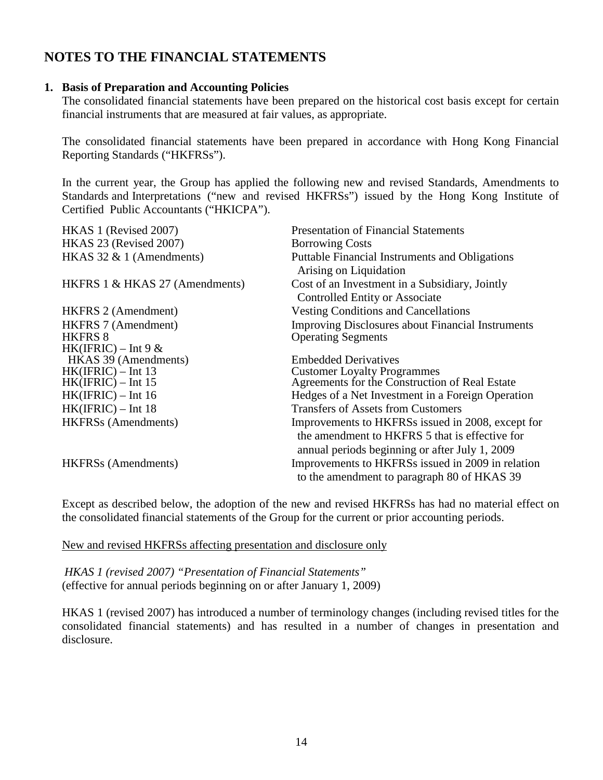# **NOTES TO THE FINANCIAL STATEMENTS**

### **1. Basis of Preparation and Accounting Policies**

The consolidated financial statements have been prepared on the historical cost basis except for certain financial instruments that are measured at fair values, as appropriate.

The consolidated financial statements have been prepared in accordance with Hong Kong Financial Reporting Standards ("HKFRSs").

In the current year, the Group has applied the following new and revised Standards, Amendments to Standards and Interpretations ("new and revised HKFRSs") issued by the Hong Kong Institute of Certified Public Accountants ("HKICPA").

| <b>Presentation of Financial Statements</b>              |
|----------------------------------------------------------|
| <b>Borrowing Costs</b>                                   |
| Puttable Financial Instruments and Obligations           |
| Arising on Liquidation                                   |
| Cost of an Investment in a Subsidiary, Jointly           |
| <b>Controlled Entity or Associate</b>                    |
| <b>Vesting Conditions and Cancellations</b>              |
| <b>Improving Disclosures about Financial Instruments</b> |
| <b>Operating Segments</b>                                |
|                                                          |
| <b>Embedded Derivatives</b>                              |
| <b>Customer Loyalty Programmes</b>                       |
| Agreements for the Construction of Real Estate           |
| Hedges of a Net Investment in a Foreign Operation        |
| <b>Transfers of Assets from Customers</b>                |
| Improvements to HKFRSs issued in 2008, except for        |
| the amendment to HKFRS 5 that is effective for           |
| annual periods beginning or after July 1, 2009           |
| Improvements to HKFRSs issued in 2009 in relation        |
| to the amendment to paragraph 80 of HKAS 39              |
|                                                          |

Except as described below, the adoption of the new and revised HKFRSs has had no material effect on the consolidated financial statements of the Group for the current or prior accounting periods.

New and revised HKFRSs affecting presentation and disclosure only

*HKAS 1 (revised 2007) "Presentation of Financial Statements"*  (effective for annual periods beginning on or after January 1, 2009)

HKAS 1 (revised 2007) has introduced a number of terminology changes (including revised titles for the consolidated financial statements) and has resulted in a number of changes in presentation and disclosure.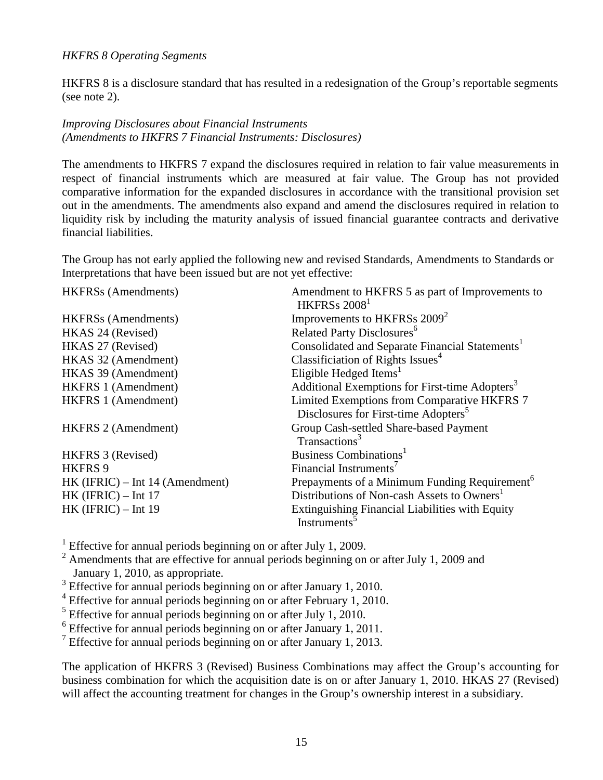### *HKFRS 8 Operating Segments*

HKFRS 8 is a disclosure standard that has resulted in a redesignation of the Group's reportable segments (see note 2).

### *Improving Disclosures about Financial Instruments (Amendments to HKFRS 7 Financial Instruments: Disclosures)*

The amendments to HKFRS 7 expand the disclosures required in relation to fair value measurements in respect of financial instruments which are measured at fair value. The Group has not provided comparative information for the expanded disclosures in accordance with the transitional provision set out in the amendments. The amendments also expand and amend the disclosures required in relation to liquidity risk by including the maturity analysis of issued financial guarantee contracts and derivative financial liabilities.

The Group has not early applied the following new and revised Standards, Amendments to Standards or Interpretations that have been issued but are not yet effective:

HKFRSs (Amendments) Amendment to HKFRS 5 as part of Improvements to

|                                   | HKFRSs 2008 <sup>1</sup>                                    |
|-----------------------------------|-------------------------------------------------------------|
| <b>HKFRSs</b> (Amendments)        | Improvements to HKFRSs 2009 <sup>2</sup>                    |
| HKAS 24 (Revised)                 | Related Party Disclosures <sup>6</sup>                      |
| HKAS 27 (Revised)                 | Consolidated and Separate Financial Statements <sup>1</sup> |
| HKAS 32 (Amendment)               | Classificiation of Rights Issues <sup>4</sup>               |
| HKAS 39 (Amendment)               | Eligible Hedged Items <sup>1</sup>                          |
| <b>HKFRS 1 (Amendment)</b>        | Additional Exemptions for First-time Adopters <sup>3</sup>  |
| <b>HKFRS 1 (Amendment)</b>        | Limited Exemptions from Comparative HKFRS 7                 |
|                                   | Disclosures for First-time Adopters <sup>5</sup>            |
| <b>HKFRS 2 (Amendment)</b>        | Group Cash-settled Share-based Payment                      |
|                                   | Transactions <sup>3</sup>                                   |
| HKFRS 3 (Revised)                 | Business Combinations <sup>1</sup>                          |
| HKFRS 9                           | Financial Instruments <sup>7</sup>                          |
| $HK$ (IFRIC) – Int 14 (Amendment) | Prepayments of a Minimum Funding Requirement <sup>6</sup>   |
| $HK$ (IFRIC) – Int 17             | Distributions of Non-cash Assets to Owners <sup>1</sup>     |
| $HK$ (IFRIC) – Int 19             | <b>Extinguishing Financial Liabilities with Equity</b>      |
|                                   | Instruments <sup>3</sup>                                    |

<sup>1</sup> Effective for annual periods beginning on or after July 1, 2009.

 $2$  Amendments that are effective for annual periods beginning on or after July 1, 2009 and January 1, 2010, as appropriate.

<sup>3</sup> Effective for annual periods beginning on or after January 1, 2010.

<sup>4</sup> Effective for annual periods beginning on or after February 1, 2010.

<sup>5</sup> Effective for annual periods beginning on or after July 1, 2010.

<sup>6</sup> Effective for annual periods beginning on or after January 1, 2011.

<sup>7</sup> Effective for annual periods beginning on or after January 1, 2013.

The application of HKFRS 3 (Revised) Business Combinations may affect the Group's accounting for business combination for which the acquisition date is on or after January 1, 2010. HKAS 27 (Revised) will affect the accounting treatment for changes in the Group's ownership interest in a subsidiary.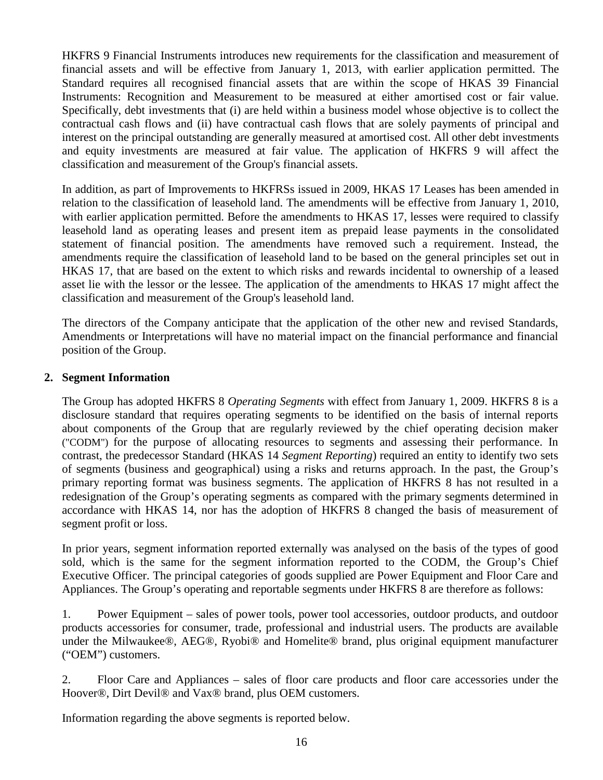HKFRS 9 Financial Instruments introduces new requirements for the classification and measurement of financial assets and will be effective from January 1, 2013, with earlier application permitted. The Standard requires all recognised financial assets that are within the scope of HKAS 39 Financial Instruments: Recognition and Measurement to be measured at either amortised cost or fair value. Specifically, debt investments that (i) are held within a business model whose objective is to collect the contractual cash flows and (ii) have contractual cash flows that are solely payments of principal and interest on the principal outstanding are generally measured at amortised cost. All other debt investments and equity investments are measured at fair value. The application of HKFRS 9 will affect the classification and measurement of the Group's financial assets.

In addition, as part of Improvements to HKFRSs issued in 2009, HKAS 17 Leases has been amended in relation to the classification of leasehold land. The amendments will be effective from January 1, 2010, with earlier application permitted. Before the amendments to HKAS 17, lesses were required to classify leasehold land as operating leases and present item as prepaid lease payments in the consolidated statement of financial position. The amendments have removed such a requirement. Instead, the amendments require the classification of leasehold land to be based on the general principles set out in HKAS 17, that are based on the extent to which risks and rewards incidental to ownership of a leased asset lie with the lessor or the lessee. The application of the amendments to HKAS 17 might affect the classification and measurement of the Group's leasehold land.

The directors of the Company anticipate that the application of the other new and revised Standards, Amendments or Interpretations will have no material impact on the financial performance and financial position of the Group.

### **2. Segment Information**

The Group has adopted HKFRS 8 *Operating Segments* with effect from January 1, 2009. HKFRS 8 is a disclosure standard that requires operating segments to be identified on the basis of internal reports about components of the Group that are regularly reviewed by the chief operating decision maker ("CODM") for the purpose of allocating resources to segments and assessing their performance. In contrast, the predecessor Standard (HKAS 14 *Segment Reporting*) required an entity to identify two sets of segments (business and geographical) using a risks and returns approach. In the past, the Group's primary reporting format was business segments. The application of HKFRS 8 has not resulted in a redesignation of the Group's operating segments as compared with the primary segments determined in accordance with HKAS 14, nor has the adoption of HKFRS 8 changed the basis of measurement of segment profit or loss.

In prior years, segment information reported externally was analysed on the basis of the types of good sold, which is the same for the segment information reported to the CODM, the Group's Chief Executive Officer. The principal categories of goods supplied are Power Equipment and Floor Care and Appliances. The Group's operating and reportable segments under HKFRS 8 are therefore as follows:

1. Power Equipment – sales of power tools, power tool accessories, outdoor products, and outdoor products accessories for consumer, trade, professional and industrial users. The products are available under the Milwaukee®, AEG®, Ryobi® and Homelite® brand, plus original equipment manufacturer ("OEM") customers.

2. Floor Care and Appliances – sales of floor care products and floor care accessories under the Hoover®, Dirt Devil® and Vax® brand, plus OEM customers.

Information regarding the above segments is reported below.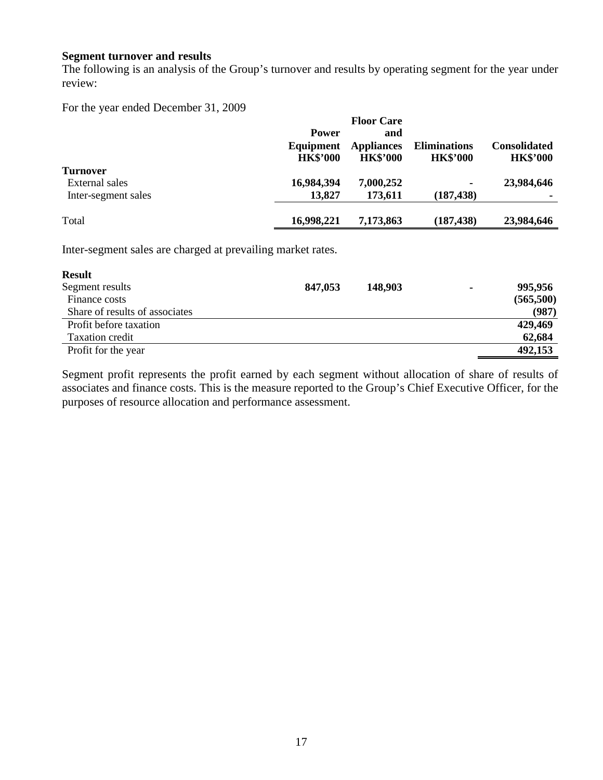### **Segment turnover and results**

The following is an analysis of the Group's turnover and results by operating segment for the year under review:

For the year ended December 31, 2009

|                     |                 | <b>Floor Care</b> |                     |                     |
|---------------------|-----------------|-------------------|---------------------|---------------------|
|                     | <b>Power</b>    | and               |                     |                     |
|                     | Equipment       | <b>Appliances</b> | <b>Eliminations</b> | <b>Consolidated</b> |
|                     | <b>HK\$'000</b> | <b>HK\$'000</b>   | <b>HK\$'000</b>     | <b>HK\$'000</b>     |
| <b>Turnover</b>     |                 |                   |                     |                     |
| External sales      | 16,984,394      | 7,000,252         |                     | 23,984,646          |
| Inter-segment sales | 13,827          | 173,611           | (187, 438)          |                     |
| Total               | 16,998,221      | 7,173,863         | (187, 438)          | 23,984,646          |

Inter-segment sales are charged at prevailing market rates.

| <b>Result</b>                  |         |         |   |           |
|--------------------------------|---------|---------|---|-----------|
| Segment results                | 847,053 | 148,903 | ٠ | 995,956   |
| Finance costs                  |         |         |   | (565,500) |
| Share of results of associates |         |         |   | (987)     |
| Profit before taxation         |         |         |   | 429,469   |
| Taxation credit                |         |         |   | 62,684    |
| Profit for the year            |         |         |   | 492,153   |

Segment profit represents the profit earned by each segment without allocation of share of results of associates and finance costs. This is the measure reported to the Group's Chief Executive Officer, for the purposes of resource allocation and performance assessment.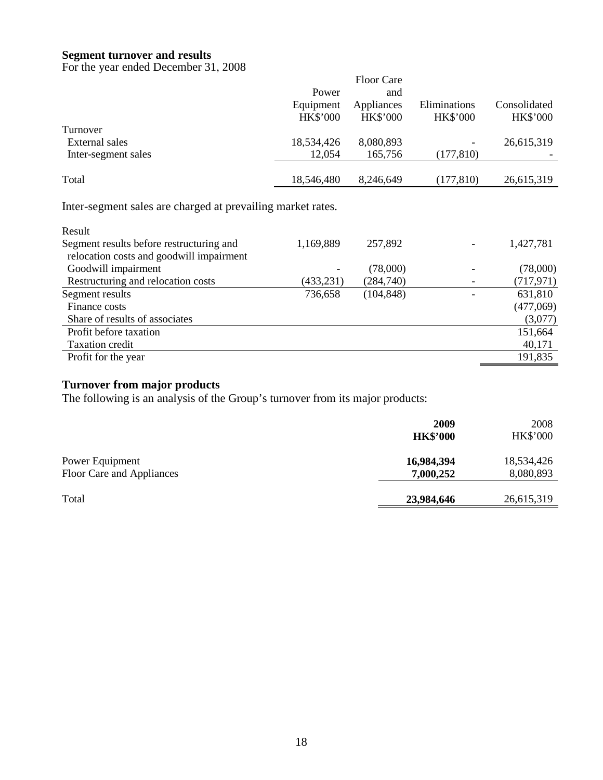### **Segment turnover and results**

For the year ended December 31, 2008

|                                                             |                 | <b>Floor Care</b> |                 |                 |
|-------------------------------------------------------------|-----------------|-------------------|-----------------|-----------------|
|                                                             | Power           | and               |                 |                 |
|                                                             | Equipment       | Appliances        | Eliminations    | Consolidated    |
|                                                             | <b>HK\$'000</b> | <b>HK\$'000</b>   | <b>HK\$'000</b> | <b>HK\$'000</b> |
| Turnover                                                    |                 |                   |                 |                 |
| External sales                                              | 18,534,426      | 8,080,893         |                 | 26,615,319      |
| Inter-segment sales                                         | 12,054          | 165,756           | (177, 810)      |                 |
| Total                                                       | 18,546,480      | 8,246,649         | (177, 810)      | 26,615,319      |
| Inter-segment sales are charged at prevailing market rates. |                 |                   |                 |                 |
| Result                                                      |                 |                   |                 |                 |
| Segment results before restructuring and                    | 1 160 ՋՋՕ       | 257.892           |                 | 127791          |

| Segment results before restructuring and | 1,169,889  | 257,892    | 1,427,781  |
|------------------------------------------|------------|------------|------------|
| relocation costs and goodwill impairment |            |            |            |
| Goodwill impairment                      |            | (78,000)   | (78,000)   |
| Restructuring and relocation costs       | (433, 231) | (284,740)  | (717, 971) |
| Segment results                          | 736,658    | (104, 848) | 631,810    |
| Finance costs                            |            |            | (477,069)  |
| Share of results of associates           |            |            | (3,077)    |
| Profit before taxation                   |            |            | 151,664    |
| Taxation credit                          |            |            | 40,171     |
| Profit for the year                      |            |            | 191,835    |
|                                          |            |            |            |

## **Turnover from major products**

The following is an analysis of the Group's turnover from its major products:

|                                              | 2009<br><b>HK\$'000</b> | 2008<br><b>HK\$'000</b> |
|----------------------------------------------|-------------------------|-------------------------|
| Power Equipment<br>Floor Care and Appliances | 16,984,394<br>7,000,252 | 18,534,426<br>8,080,893 |
| Total                                        | 23,984,646              | 26,615,319              |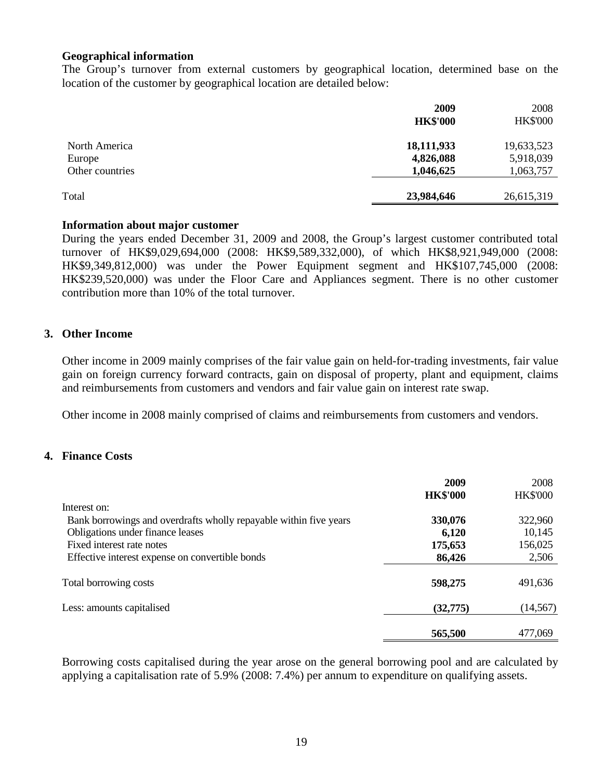### **Geographical information**

The Group's turnover from external customers by geographical location, determined base on the location of the customer by geographical location are detailed below:

|                                            | 2009<br><b>HK\$'000</b>              | 2008<br><b>HK\$'000</b>              |
|--------------------------------------------|--------------------------------------|--------------------------------------|
| North America<br>Europe<br>Other countries | 18,111,933<br>4,826,088<br>1,046,625 | 19,633,523<br>5,918,039<br>1,063,757 |
| Total                                      | 23,984,646                           | 26,615,319                           |

### **Information about major customer**

During the years ended December 31, 2009 and 2008, the Group's largest customer contributed total turnover of HK\$9,029,694,000 (2008: HK\$9,589,332,000), of which HK\$8,921,949,000 (2008: HK\$9,349,812,000) was under the Power Equipment segment and HK\$107,745,000 (2008: HK\$239,520,000) was under the Floor Care and Appliances segment. There is no other customer contribution more than 10% of the total turnover.

### **3. Other Income**

Other income in 2009 mainly comprises of the fair value gain on held-for-trading investments, fair value gain on foreign currency forward contracts, gain on disposal of property, plant and equipment, claims and reimbursements from customers and vendors and fair value gain on interest rate swap.

Other income in 2008 mainly comprised of claims and reimbursements from customers and vendors.

### **4. Finance Costs**

|                                                                   | 2009            | 2008            |
|-------------------------------------------------------------------|-----------------|-----------------|
|                                                                   | <b>HK\$'000</b> | <b>HK\$'000</b> |
| Interest on:                                                      |                 |                 |
| Bank borrowings and overdrafts wholly repayable within five years | 330,076         | 322,960         |
| Obligations under finance leases                                  | 6,120           | 10,145          |
| Fixed interest rate notes                                         | 175,653         | 156,025         |
| Effective interest expense on convertible bonds                   | 86,426          | 2,506           |
| Total borrowing costs                                             | 598,275         | 491,636         |
| Less: amounts capitalised                                         | (32, 775)       | (14, 567)       |
|                                                                   | 565,500         | 477,069         |

 Borrowing costs capitalised during the year arose on the general borrowing pool and are calculated by applying a capitalisation rate of 5.9% (2008: 7.4%) per annum to expenditure on qualifying assets.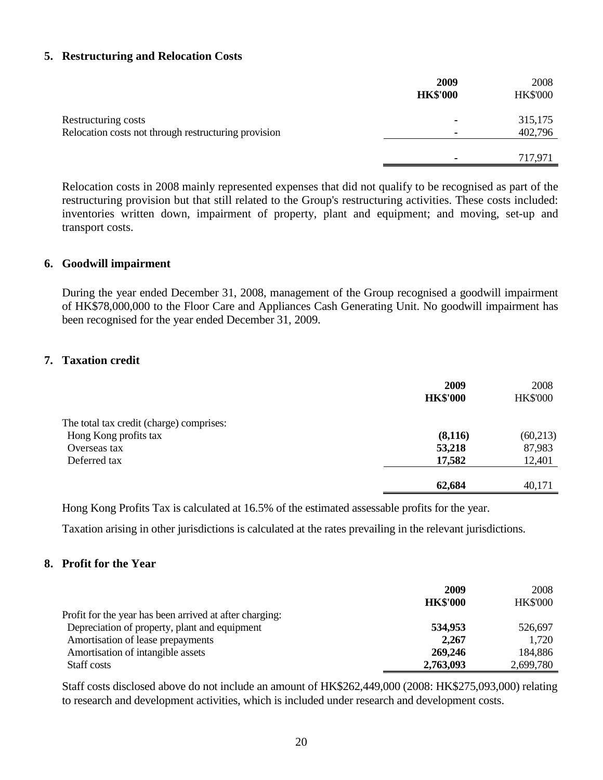### **5. Restructuring and Relocation Costs**

|                                                      | 2009<br><b>HK\$'000</b> | 2008<br><b>HK\$'000</b> |
|------------------------------------------------------|-------------------------|-------------------------|
| Restructuring costs                                  | -                       | 315,175                 |
| Relocation costs not through restructuring provision | ٠                       | 402,796                 |
|                                                      |                         |                         |
|                                                      |                         | 717,971                 |

Relocation costs in 2008 mainly represented expenses that did not qualify to be recognised as part of the restructuring provision but that still related to the Group's restructuring activities. These costs included: inventories written down, impairment of property, plant and equipment; and moving, set-up and transport costs.

### **6. Goodwill impairment**

During the year ended December 31, 2008, management of the Group recognised a goodwill impairment of HK\$78,000,000 to the Floor Care and Appliances Cash Generating Unit. No goodwill impairment has been recognised for the year ended December 31, 2009.

### **7. Taxation credit**

|                                          | 2009<br><b>HK\$'000</b> | 2008<br><b>HK\$'000</b> |
|------------------------------------------|-------------------------|-------------------------|
| The total tax credit (charge) comprises: |                         |                         |
| Hong Kong profits tax                    | (8,116)                 | (60, 213)               |
| Overseas tax                             | 53,218                  | 87,983                  |
| Deferred tax                             | 17,582                  | 12,401                  |
|                                          | 62,684                  | 40,171                  |

Hong Kong Profits Tax is calculated at 16.5% of the estimated assessable profits for the year.

Taxation arising in other jurisdictions is calculated at the rates prevailing in the relevant jurisdictions.

### **8. Profit for the Year**

|                                                         | 2009            | 2008            |
|---------------------------------------------------------|-----------------|-----------------|
|                                                         | <b>HK\$'000</b> | <b>HK\$'000</b> |
| Profit for the year has been arrived at after charging: |                 |                 |
| Depreciation of property, plant and equipment           | 534,953         | 526,697         |
| Amortisation of lease prepayments                       | 2,267           | 1,720           |
| Amortisation of intangible assets                       | 269,246         | 184,886         |
| Staff costs                                             | 2,763,093       | 2,699,780       |

Staff costs disclosed above do not include an amount of HK\$262,449,000 (2008: HK\$275,093,000) relating to research and development activities, which is included under research and development costs.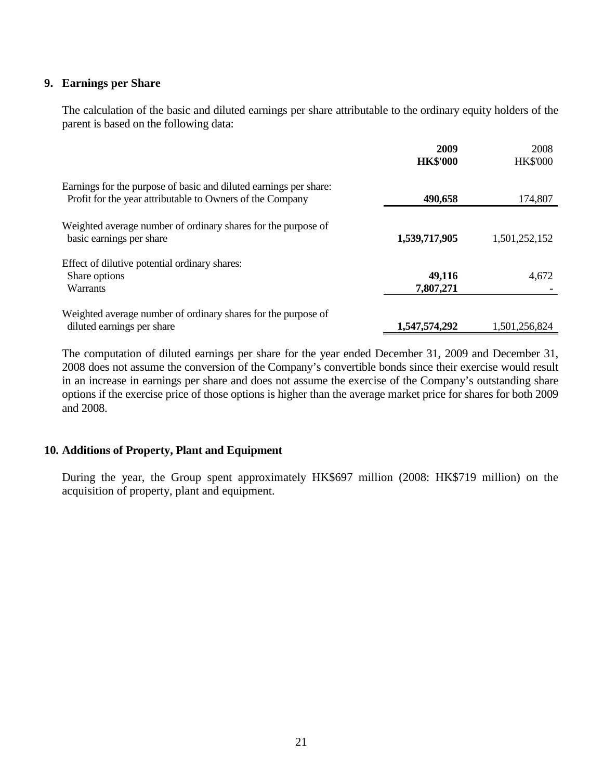### **9. Earnings per Share**

 The calculation of the basic and diluted earnings per share attributable to the ordinary equity holders of the parent is based on the following data:

|                                                                                                                                | 2009<br><b>HK\$'000</b> | 2008<br><b>HK\$'000</b> |
|--------------------------------------------------------------------------------------------------------------------------------|-------------------------|-------------------------|
| Earnings for the purpose of basic and diluted earnings per share:<br>Profit for the year attributable to Owners of the Company | 490,658                 | 174,807                 |
| Weighted average number of ordinary shares for the purpose of<br>basic earnings per share                                      | 1,539,717,905           | 1,501,252,152           |
| Effect of dilutive potential ordinary shares:<br>Share options<br><b>Warrants</b>                                              | 49,116<br>7,807,271     | 4,672                   |
| Weighted average number of ordinary shares for the purpose of<br>diluted earnings per share                                    | 1,547,574,292           | 1,501,256,824           |

 The computation of diluted earnings per share for the year ended December 31, 2009 and December 31, 2008 does not assume the conversion of the Company's convertible bonds since their exercise would result in an increase in earnings per share and does not assume the exercise of the Company's outstanding share options if the exercise price of those options is higher than the average market price for shares for both 2009 and 2008.

### **10. Additions of Property, Plant and Equipment**

 During the year, the Group spent approximately HK\$697 million (2008: HK\$719 million) on the acquisition of property, plant and equipment.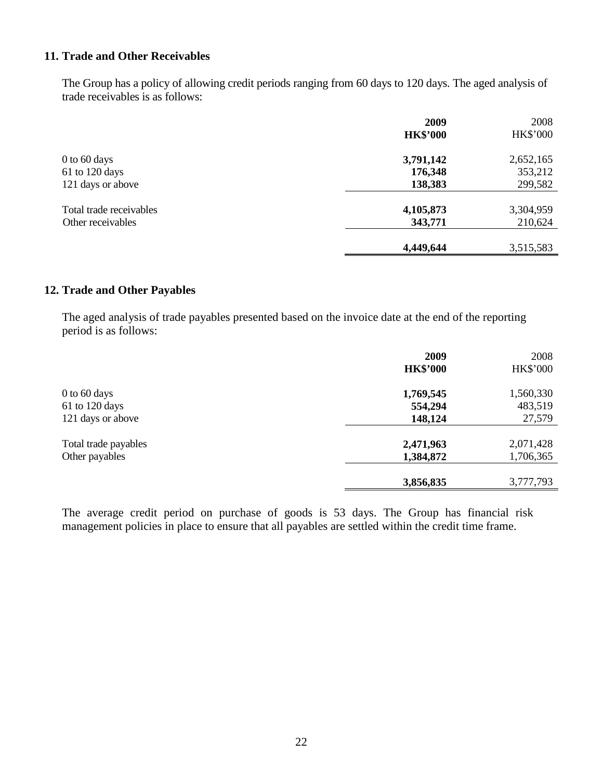## **11. Trade and Other Receivables**

The Group has a policy of allowing credit periods ranging from 60 days to 120 days. The aged analysis of trade receivables is as follows:

|                         | 2009            | 2008            |
|-------------------------|-----------------|-----------------|
|                         | <b>HK\$'000</b> | <b>HK\$'000</b> |
| $0$ to 60 days          | 3,791,142       | 2,652,165       |
| 61 to 120 days          | 176,348         | 353,212         |
| 121 days or above       | 138,383         | 299,582         |
| Total trade receivables | 4,105,873       | 3,304,959       |
| Other receivables       | 343,771         | 210,624         |
|                         | 4,449,644       | 3,515,583       |

### **12. Trade and Other Payables**

The aged analysis of trade payables presented based on the invoice date at the end of the reporting period is as follows:

|                      | 2009            | 2008      |
|----------------------|-----------------|-----------|
|                      | <b>HK\$'000</b> | HK\$'000  |
| 0 to 60 days         | 1,769,545       | 1,560,330 |
| 61 to 120 days       | 554,294         | 483,519   |
| 121 days or above    | 148,124         | 27,579    |
| Total trade payables | 2,471,963       | 2,071,428 |
| Other payables       | 1,384,872       | 1,706,365 |
|                      |                 |           |
|                      | 3,856,835       | 3,777,793 |

The average credit period on purchase of goods is 53 days. The Group has financial risk management policies in place to ensure that all payables are settled within the credit time frame.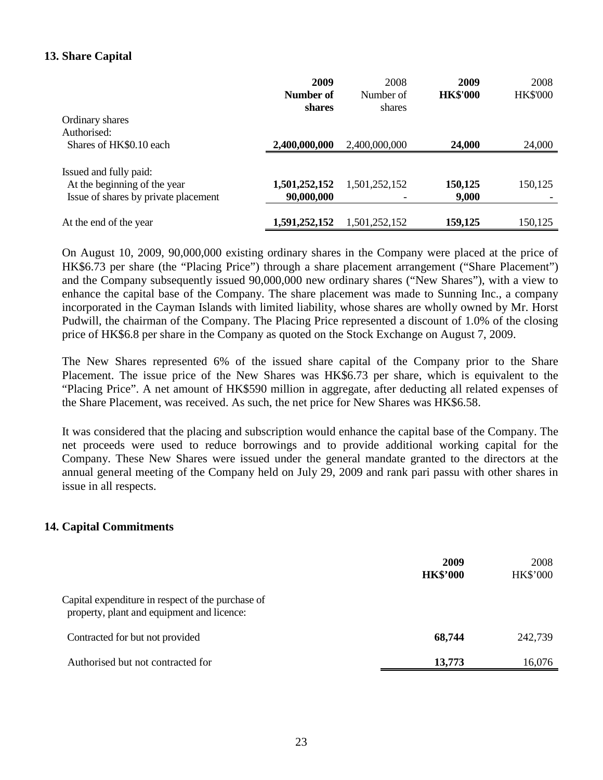### **13. Share Capital**

|                                      | 2009<br>Number of | 2008<br>Number of | 2009<br><b>HK\$'000</b> | 2008<br><b>HK\$'000</b> |
|--------------------------------------|-------------------|-------------------|-------------------------|-------------------------|
| Ordinary shares                      | shares            | shares            |                         |                         |
| Authorised:                          |                   |                   |                         |                         |
| Shares of HK\$0.10 each              | 2,400,000,000     | 2,400,000,000     | 24,000                  | 24,000                  |
| Issued and fully paid:               |                   |                   |                         |                         |
| At the beginning of the year         | 1,501,252,152     | 1,501,252,152     | 150,125                 | 150,125                 |
| Issue of shares by private placement | 90,000,000        |                   | 9,000                   |                         |
| At the end of the year               | 1,591,252,152     | 1,501,252,152     | 159,125                 | 150,125                 |

On August 10, 2009, 90,000,000 existing ordinary shares in the Company were placed at the price of HK\$6.73 per share (the "Placing Price") through a share placement arrangement ("Share Placement") and the Company subsequently issued 90,000,000 new ordinary shares ("New Shares"), with a view to enhance the capital base of the Company. The share placement was made to Sunning Inc., a company incorporated in the Cayman Islands with limited liability, whose shares are wholly owned by Mr. Horst Pudwill, the chairman of the Company. The Placing Price represented a discount of 1.0% of the closing price of HK\$6.8 per share in the Company as quoted on the Stock Exchange on August 7, 2009.

The New Shares represented 6% of the issued share capital of the Company prior to the Share Placement. The issue price of the New Shares was HK\$6.73 per share, which is equivalent to the "Placing Price". A net amount of HK\$590 million in aggregate, after deducting all related expenses of the Share Placement, was received. As such, the net price for New Shares was HK\$6.58.

It was considered that the placing and subscription would enhance the capital base of the Company. The net proceeds were used to reduce borrowings and to provide additional working capital for the Company. These New Shares were issued under the general mandate granted to the directors at the annual general meeting of the Company held on July 29, 2009 and rank pari passu with other shares in issue in all respects.

#### **14. Capital Commitments**

|                                                                                                 | 2009<br><b>HK\$'000</b> | 2008<br><b>HK\$'000</b> |
|-------------------------------------------------------------------------------------------------|-------------------------|-------------------------|
| Capital expenditure in respect of the purchase of<br>property, plant and equipment and licence: |                         |                         |
| Contracted for but not provided                                                                 | 68,744                  | 242,739                 |
| Authorised but not contracted for                                                               | 13,773                  | 16,076                  |